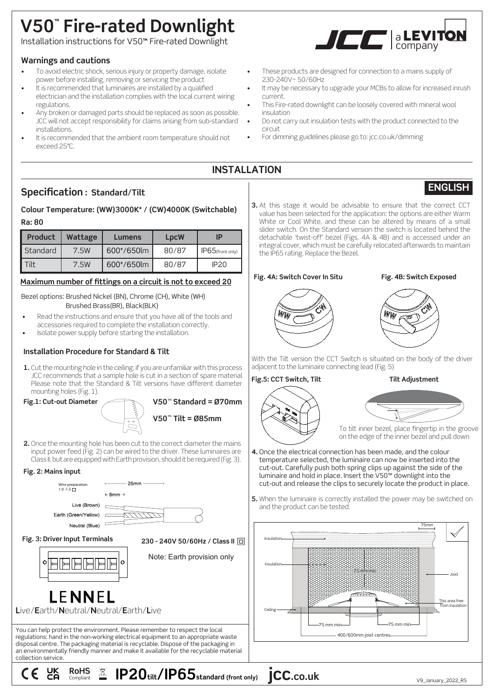# **V50™ Fire-rated Downlight**

a Installation instructions for V50**™** Fire-rated Downlight

# **Warnings and cautions**

- To avoid electric shock, serious injury or property damage, isolate power before installing, removing or servicing the product
- It is recommended that luminaires are installed by a qualified electrician and the installation complies with the local current wiring regulations.
- Any broken or damaged parts should be replaced as soon as possible. JCC will not accept responsibility for claims arising from sub-standard installations.
- It is recommended that the ambient room temperature should not exceed 25°C.



- These products are designed for connection to a mains supply of 230-240V~ 50/60Hz
- It may be necessary to upgrade your MCBs to allow for increased inrush current.
- This Fire-rated downlight can be loosely covered with mineral wool insulation
- Do not carry out insulation tests with the product connected to the circuit
- For dimming guidelines please go to: jcc.co.uk/dimming

# **INSTALLATION**

# **Specification : Standard/Tilt**

# **Colour Temperature: (WW)3000K\* / (CW)4000K (Switchable) Ra: 80**

| <b>Product</b> | Wattage | Lumens     | <b>LpcW</b> | IP                  |
|----------------|---------|------------|-------------|---------------------|
| Standard       | 7.5W    | 600*/650lm | 80/87       | $IP65$ (front only) |
| ʻilt           | 7.5W    | 600*/650lm | 80/87       | IP <sub>20</sub>    |

## **Maximum number of fittings on a circuit is not to exceed 20**

Bezel options: Brushed Nickel (BN), Chrome (CH), White (WH) Brushed Brass(BR), Black(BLK)

- Read the instructions and ensure that you have all of the tools and accessories required to complete the installation correctly.
- Isolate power supply before starting the installation.

# **Installation Procedure for Standard & Tilt**

**1.** Cut the mounting hole in the ceiling; if you are unfamiliar with this process JCC recommends that a sample hole is cut in a section of spare material Please note that the Standard & Tilt versions have different diameter mounting holes (Fig. 1).



**V50**™ **Tilt = Ø85mm V50**™ **Standard = Ø70mm**

**2.** Once the mounting hole has been cut to the correct diameter the mains input power feed (Fig. 2) can be wired to the driver. These luminaires are Class II, but are equipped with Earth provision, should it be required (Fig. 3).

### **Fig. 2: Mains input**



**3.** At this stage it would be advisable to ensure that the correct CCT value has been selected for the application: the options are either Warm White or Cool White, and these can be altered by means of a small slider switch. On the Standard version the switch is located behind the detachable 'twist-off' bezel (Figs. 4A & 4B) and is accessed under an integral cover, which must be carefully relocated afterwards to maintain the IP65 rating. Replace the Bezel.

#### **Fig. 4A: Switch Cover In Situ Fig. 4B: Switch Exposed**

**ENGLISH**



With the Tilt version the CCT Switch is situated on the body of the driver adjacent to the luminaire connecting lead (Fig. 5)

**Fig.5: CCT Switch, Tilt Tilt Adjustment**



- **4.** Once the electrical connection has been made, and the colour temperature selected, the luminaire can now be inserted into the cut-out. Carefully push both spring clips up against the side of the luminaire and hold in place. Insert the V50™ downlight into the cut-out and release the clips to securely locate the product in place.
- **5.** When the luminaire is correctly installed the power may be switched on and the product can be tested.